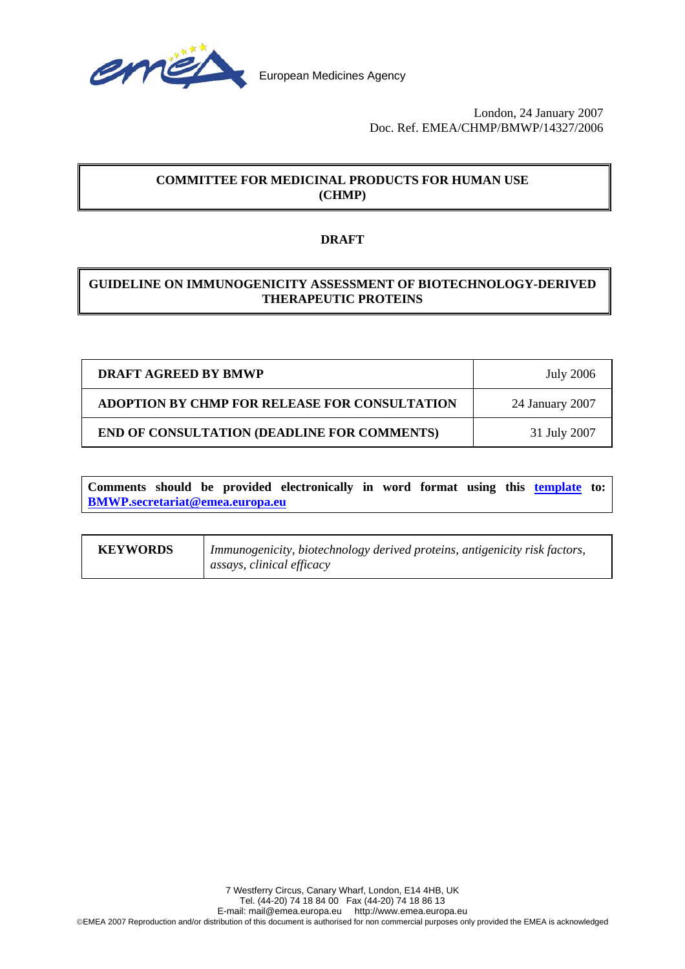

 London, 24 January 2007 Doc. Ref. EMEA/CHMP/BMWP/14327/2006

# **COMMITTEE FOR MEDICINAL PRODUCTS FOR HUMAN USE (CHMP)**

# **DRAFT**

# **GUIDELINE ON IMMUNOGENICITY ASSESSMENT OF BIOTECHNOLOGY-DERIVED THERAPEUTIC PROTEINS**

| <b>DRAFT AGREED BY BMWP</b>                          | <b>July 2006</b> |
|------------------------------------------------------|------------------|
| <b>ADOPTION BY CHMP FOR RELEASE FOR CONSULTATION</b> | 24 January 2007  |
| <b>END OF CONSULTATION (DEADLINE FOR COMMENTS)</b>   | 31 July 2007     |

**Comments should be provided electronically in word format using this [template](http://www.emea.europa.eu/pdfs/human/regaffair/submitcomment.doc) to: [BMWP.secretariat@emea.europa.eu](mailto:BMWP.secretariat@emea.europa.eu)**

| <b>KEYWORDS</b> | Immunogenicity, biotechnology derived proteins, antigenicity risk factors,<br>assays, clinical efficacy |
|-----------------|---------------------------------------------------------------------------------------------------------|
|                 |                                                                                                         |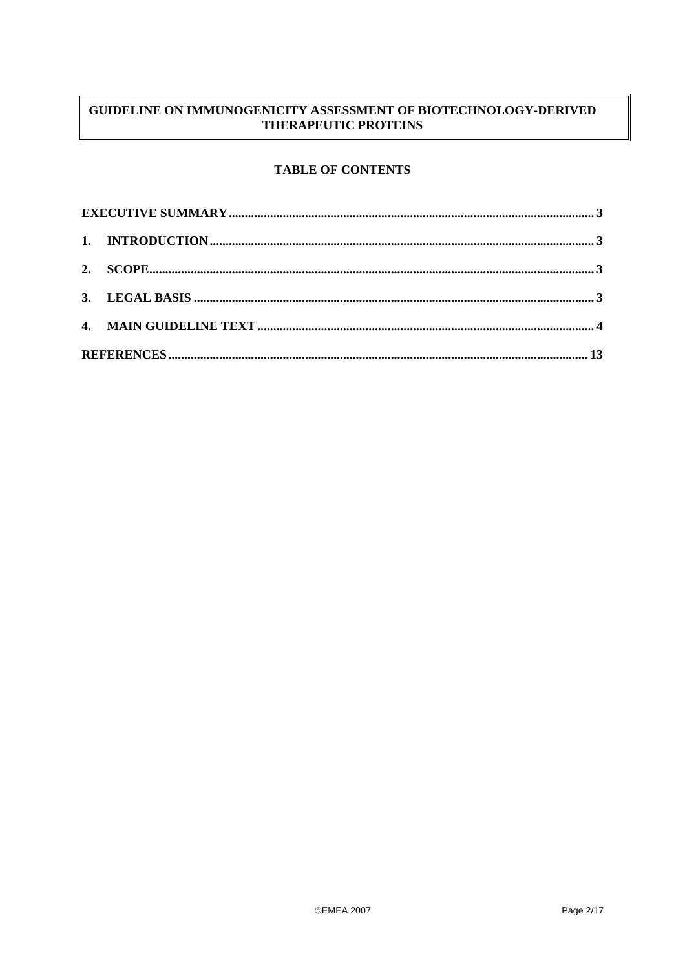# GUIDELINE ON IMMUNOGENICITY ASSESSMENT OF BIOTECHNOLOGY-DERIVED **THERAPEUTIC PROTEINS**

# **TABLE OF CONTENTS**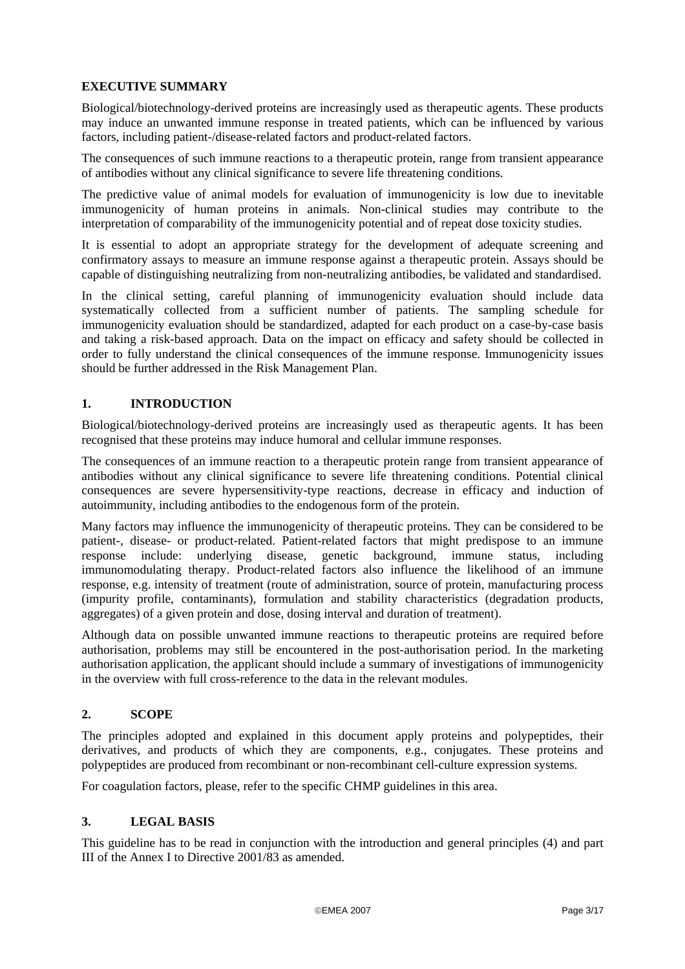## <span id="page-2-0"></span>**EXECUTIVE SUMMARY**

Biological/biotechnology-derived proteins are increasingly used as therapeutic agents. These products may induce an unwanted immune response in treated patients, which can be influenced by various factors, including patient-/disease-related factors and product-related factors.

The consequences of such immune reactions to a therapeutic protein, range from transient appearance of antibodies without any clinical significance to severe life threatening conditions.

The predictive value of animal models for evaluation of immunogenicity is low due to inevitable immunogenicity of human proteins in animals. Non-clinical studies may contribute to the interpretation of comparability of the immunogenicity potential and of repeat dose toxicity studies.

It is essential to adopt an appropriate strategy for the development of adequate screening and confirmatory assays to measure an immune response against a therapeutic protein. Assays should be capable of distinguishing neutralizing from non-neutralizing antibodies, be validated and standardised.

In the clinical setting, careful planning of immunogenicity evaluation should include data systematically collected from a sufficient number of patients. The sampling schedule for immunogenicity evaluation should be standardized, adapted for each product on a case-by-case basis and taking a risk-based approach. Data on the impact on efficacy and safety should be collected in order to fully understand the clinical consequences of the immune response. Immunogenicity issues should be further addressed in the Risk Management Plan.

### **1. INTRODUCTION**

Biological/biotechnology-derived proteins are increasingly used as therapeutic agents. It has been recognised that these proteins may induce humoral and cellular immune responses.

The consequences of an immune reaction to a therapeutic protein range from transient appearance of antibodies without any clinical significance to severe life threatening conditions. Potential clinical consequences are severe hypersensitivity-type reactions, decrease in efficacy and induction of autoimmunity, including antibodies to the endogenous form of the protein.

Many factors may influence the immunogenicity of therapeutic proteins. They can be considered to be patient-, disease- or product-related. Patient-related factors that might predispose to an immune response include: underlying disease, genetic background, immune status, including immunomodulating therapy. Product-related factors also influence the likelihood of an immune response, e.g. intensity of treatment (route of administration, source of protein, manufacturing process (impurity profile, contaminants), formulation and stability characteristics (degradation products, aggregates) of a given protein and dose, dosing interval and duration of treatment).

Although data on possible unwanted immune reactions to therapeutic proteins are required before authorisation, problems may still be encountered in the post-authorisation period. In the marketing authorisation application, the applicant should include a summary of investigations of immunogenicity in the overview with full cross-reference to the data in the relevant modules.

### **2. SCOPE**

The principles adopted and explained in this document apply proteins and polypeptides, their derivatives, and products of which they are components, e.g., conjugates. These proteins and polypeptides are produced from recombinant or non-recombinant cell-culture expression systems.

For coagulation factors, please, refer to the specific CHMP guidelines in this area.

### **3. LEGAL BASIS**

This guideline has to be read in conjunction with the introduction and general principles (4) and part III of the Annex I to Directive 2001/83 as amended.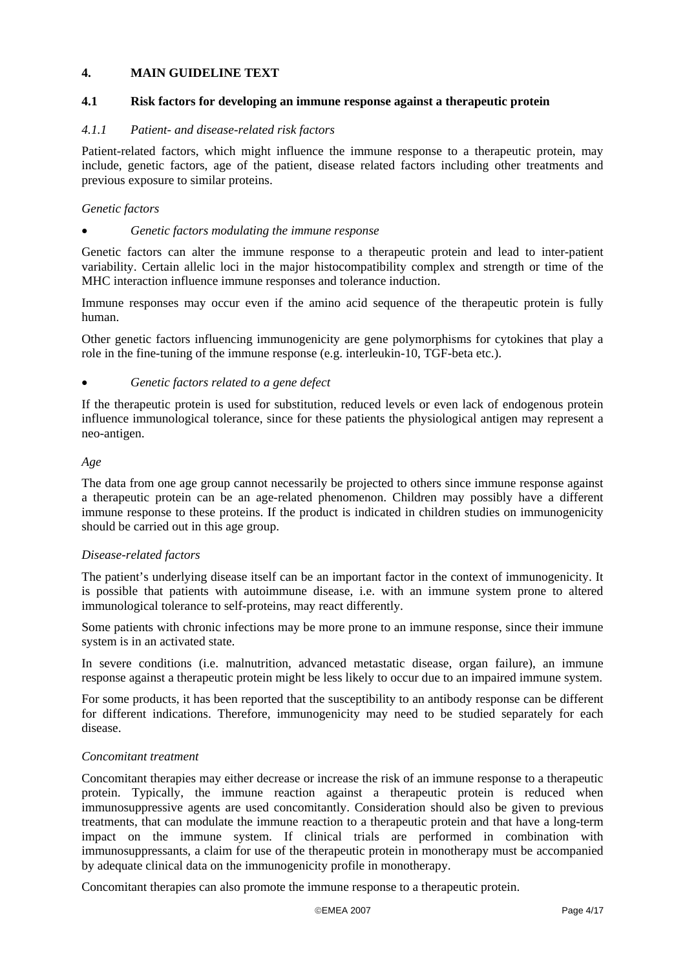### <span id="page-3-0"></span>**4. MAIN GUIDELINE TEXT**

### **4.1 Risk factors for developing an immune response against a therapeutic protein**

### *4.1.1 Patient- and disease-related risk factors*

Patient-related factors, which might influence the immune response to a therapeutic protein, may include, genetic factors, age of the patient, disease related factors including other treatments and previous exposure to similar proteins.

#### *Genetic factors*

#### • *Genetic factors modulating the immune response*

Genetic factors can alter the immune response to a therapeutic protein and lead to inter-patient variability. Certain allelic loci in the major histocompatibility complex and strength or time of the MHC interaction influence immune responses and tolerance induction.

Immune responses may occur even if the amino acid sequence of the therapeutic protein is fully human.

Other genetic factors influencing immunogenicity are gene polymorphisms for cytokines that play a role in the fine-tuning of the immune response (e.g. interleukin-10, TGF-beta etc.).

#### • *Genetic factors related to a gene defect*

If the therapeutic protein is used for substitution, reduced levels or even lack of endogenous protein influence immunological tolerance, since for these patients the physiological antigen may represent a neo-antigen.

#### *Age*

The data from one age group cannot necessarily be projected to others since immune response against a therapeutic protein can be an age-related phenomenon. Children may possibly have a different immune response to these proteins. If the product is indicated in children studies on immunogenicity should be carried out in this age group.

### *Disease-related factors*

The patient's underlying disease itself can be an important factor in the context of immunogenicity. It is possible that patients with autoimmune disease, i.e. with an immune system prone to altered immunological tolerance to self-proteins, may react differently.

Some patients with chronic infections may be more prone to an immune response, since their immune system is in an activated state.

In severe conditions (i.e. malnutrition, advanced metastatic disease, organ failure), an immune response against a therapeutic protein might be less likely to occur due to an impaired immune system.

For some products, it has been reported that the susceptibility to an antibody response can be different for different indications. Therefore, immunogenicity may need to be studied separately for each disease.

#### *Concomitant treatment*

Concomitant therapies may either decrease or increase the risk of an immune response to a therapeutic protein. Typically, the immune reaction against a therapeutic protein is reduced when immunosuppressive agents are used concomitantly. Consideration should also be given to previous treatments, that can modulate the immune reaction to a therapeutic protein and that have a long-term impact on the immune system. If clinical trials are performed in combination with immunosuppressants, a claim for use of the therapeutic protein in monotherapy must be accompanied by adequate clinical data on the immunogenicity profile in monotherapy.

Concomitant therapies can also promote the immune response to a therapeutic protein.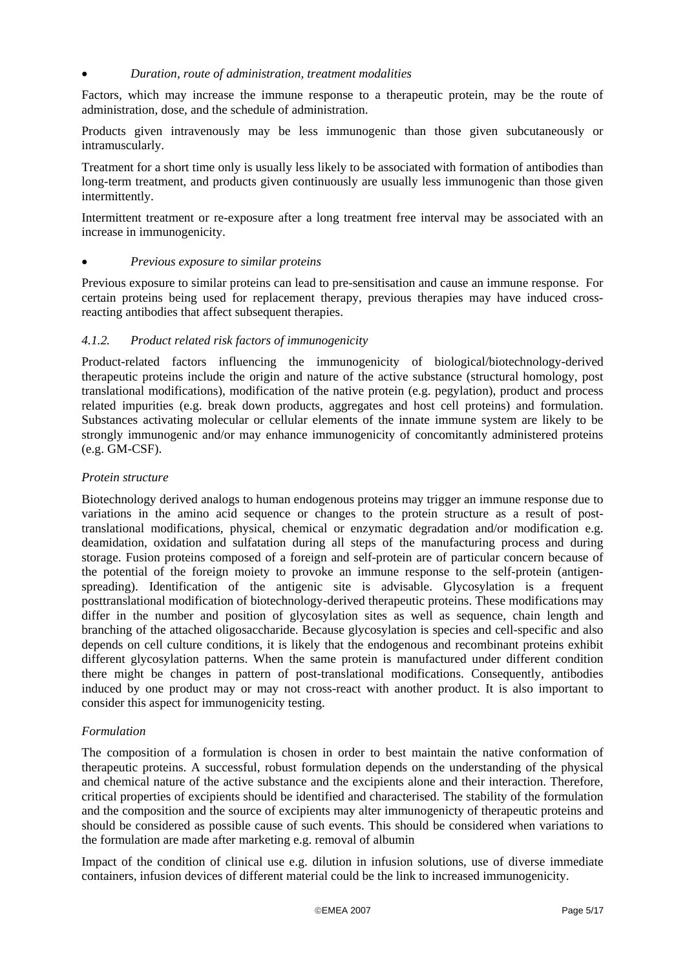### • *Duration, route of administration, treatment modalities*

Factors, which may increase the immune response to a therapeutic protein, may be the route of administration, dose, and the schedule of administration.

Products given intravenously may be less immunogenic than those given subcutaneously or intramuscularly.

Treatment for a short time only is usually less likely to be associated with formation of antibodies than long-term treatment, and products given continuously are usually less immunogenic than those given intermittently.

Intermittent treatment or re-exposure after a long treatment free interval may be associated with an increase in immunogenicity.

#### • *Previous exposure to similar proteins*

Previous exposure to similar proteins can lead to pre-sensitisation and cause an immune response. For certain proteins being used for replacement therapy, previous therapies may have induced crossreacting antibodies that affect subsequent therapies.

### *4.1.2. Product related risk factors of immunogenicity*

Product-related factors influencing the immunogenicity of biological/biotechnology-derived therapeutic proteins include the origin and nature of the active substance (structural homology, post translational modifications), modification of the native protein (e.g. pegylation), product and process related impurities (e.g. break down products, aggregates and host cell proteins) and formulation. Substances activating molecular or cellular elements of the innate immune system are likely to be strongly immunogenic and/or may enhance immunogenicity of concomitantly administered proteins (e.g. GM-CSF).

#### *Protein structure*

Biotechnology derived analogs to human endogenous proteins may trigger an immune response due to variations in the amino acid sequence or changes to the protein structure as a result of posttranslational modifications, physical, chemical or enzymatic degradation and/or modification e.g. deamidation, oxidation and sulfatation during all steps of the manufacturing process and during storage. Fusion proteins composed of a foreign and self-protein are of particular concern because of the potential of the foreign moiety to provoke an immune response to the self-protein (antigenspreading). Identification of the antigenic site is advisable. Glycosylation is a frequent posttranslational modification of biotechnology-derived therapeutic proteins. These modifications may differ in the number and position of glycosylation sites as well as sequence, chain length and branching of the attached oligosaccharide. Because glycosylation is species and cell-specific and also depends on cell culture conditions, it is likely that the endogenous and recombinant proteins exhibit different glycosylation patterns. When the same protein is manufactured under different condition there might be changes in pattern of post-translational modifications. Consequently, antibodies induced by one product may or may not cross-react with another product. It is also important to consider this aspect for immunogenicity testing.

#### *Formulation*

The composition of a formulation is chosen in order to best maintain the native conformation of therapeutic proteins. A successful, robust formulation depends on the understanding of the physical and chemical nature of the active substance and the excipients alone and their interaction. Therefore, critical properties of excipients should be identified and characterised. The stability of the formulation and the composition and the source of excipients may alter immunogenicty of therapeutic proteins and should be considered as possible cause of such events. This should be considered when variations to the formulation are made after marketing e.g. removal of albumin

Impact of the condition of clinical use e.g. dilution in infusion solutions, use of diverse immediate containers, infusion devices of different material could be the link to increased immunogenicity.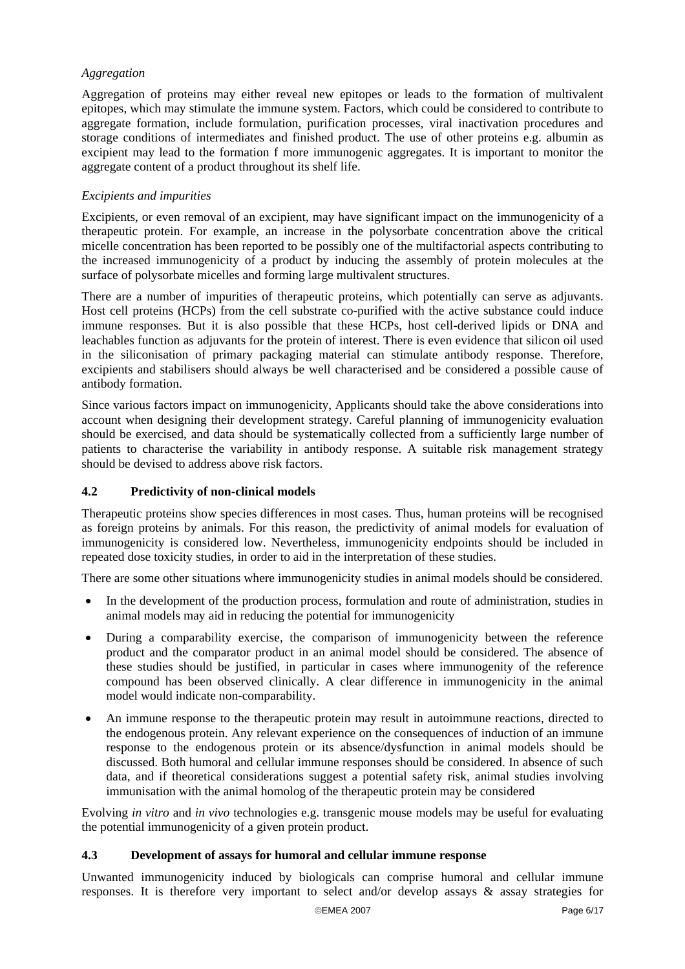## *Aggregation*

Aggregation of proteins may either reveal new epitopes or leads to the formation of multivalent epitopes, which may stimulate the immune system. Factors, which could be considered to contribute to aggregate formation, include formulation, purification processes, viral inactivation procedures and storage conditions of intermediates and finished product. The use of other proteins e.g. albumin as excipient may lead to the formation f more immunogenic aggregates. It is important to monitor the aggregate content of a product throughout its shelf life.

## *Excipients and impurities*

Excipients, or even removal of an excipient, may have significant impact on the immunogenicity of a therapeutic protein. For example, an increase in the polysorbate concentration above the critical micelle concentration has been reported to be possibly one of the multifactorial aspects contributing to the increased immunogenicity of a product by inducing the assembly of protein molecules at the surface of polysorbate micelles and forming large multivalent structures.

There are a number of impurities of therapeutic proteins, which potentially can serve as adjuvants. Host cell proteins (HCPs) from the cell substrate co-purified with the active substance could induce immune responses. But it is also possible that these HCPs, host cell-derived lipids or DNA and leachables function as adjuvants for the protein of interest. There is even evidence that silicon oil used in the siliconisation of primary packaging material can stimulate antibody response. Therefore, excipients and stabilisers should always be well characterised and be considered a possible cause of antibody formation.

Since various factors impact on immunogenicity, Applicants should take the above considerations into account when designing their development strategy. Careful planning of immunogenicity evaluation should be exercised, and data should be systematically collected from a sufficiently large number of patients to characterise the variability in antibody response. A suitable risk management strategy should be devised to address above risk factors.

## **4.2 Predictivity of non-clinical models**

Therapeutic proteins show species differences in most cases. Thus, human proteins will be recognised as foreign proteins by animals. For this reason, the predictivity of animal models for evaluation of immunogenicity is considered low. Nevertheless, immunogenicity endpoints should be included in repeated dose toxicity studies, in order to aid in the interpretation of these studies.

There are some other situations where immunogenicity studies in animal models should be considered.

- In the development of the production process, formulation and route of administration, studies in animal models may aid in reducing the potential for immunogenicity
- During a comparability exercise, the comparison of immunogenicity between the reference product and the comparator product in an animal model should be considered. The absence of these studies should be justified, in particular in cases where immunogenity of the reference compound has been observed clinically. A clear difference in immunogenicity in the animal model would indicate non-comparability.
- An immune response to the therapeutic protein may result in autoimmune reactions, directed to the endogenous protein. Any relevant experience on the consequences of induction of an immune response to the endogenous protein or its absence/dysfunction in animal models should be discussed. Both humoral and cellular immune responses should be considered. In absence of such data, and if theoretical considerations suggest a potential safety risk, animal studies involving immunisation with the animal homolog of the therapeutic protein may be considered

Evolving *in vitro* and *in vivo* technologies e.g. transgenic mouse models may be useful for evaluating the potential immunogenicity of a given protein product.

### **4.3 Development of assays for humoral and cellular immune response**

Unwanted immunogenicity induced by biologicals can comprise humoral and cellular immune responses. It is therefore very important to select and/or develop assays & assay strategies for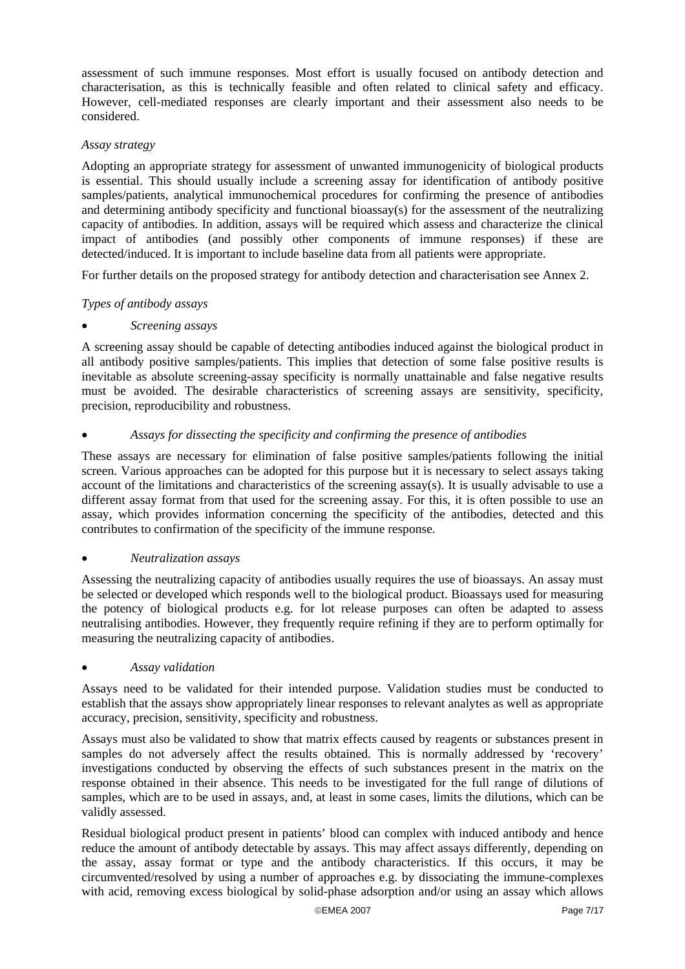assessment of such immune responses. Most effort is usually focused on antibody detection and characterisation, as this is technically feasible and often related to clinical safety and efficacy. However, cell-mediated responses are clearly important and their assessment also needs to be considered.

## *Assay strategy*

Adopting an appropriate strategy for assessment of unwanted immunogenicity of biological products is essential. This should usually include a screening assay for identification of antibody positive samples/patients, analytical immunochemical procedures for confirming the presence of antibodies and determining antibody specificity and functional bioassay(s) for the assessment of the neutralizing capacity of antibodies. In addition, assays will be required which assess and characterize the clinical impact of antibodies (and possibly other components of immune responses) if these are detected/induced. It is important to include baseline data from all patients were appropriate.

For further details on the proposed strategy for antibody detection and characterisation see Annex 2.

### *Types of antibody assays*

### • *Screening assays*

A screening assay should be capable of detecting antibodies induced against the biological product in all antibody positive samples/patients. This implies that detection of some false positive results is inevitable as absolute screening-assay specificity is normally unattainable and false negative results must be avoided. The desirable characteristics of screening assays are sensitivity, specificity, precision, reproducibility and robustness.

### • *Assays for dissecting the specificity and confirming the presence of antibodies*

These assays are necessary for elimination of false positive samples/patients following the initial screen. Various approaches can be adopted for this purpose but it is necessary to select assays taking account of the limitations and characteristics of the screening assay(s). It is usually advisable to use a different assay format from that used for the screening assay. For this, it is often possible to use an assay, which provides information concerning the specificity of the antibodies, detected and this contributes to confirmation of the specificity of the immune response.

### • *Neutralization assays*

Assessing the neutralizing capacity of antibodies usually requires the use of bioassays. An assay must be selected or developed which responds well to the biological product. Bioassays used for measuring the potency of biological products e.g. for lot release purposes can often be adapted to assess neutralising antibodies. However, they frequently require refining if they are to perform optimally for measuring the neutralizing capacity of antibodies.

### • *Assay validation*

Assays need to be validated for their intended purpose. Validation studies must be conducted to establish that the assays show appropriately linear responses to relevant analytes as well as appropriate accuracy, precision, sensitivity, specificity and robustness.

Assays must also be validated to show that matrix effects caused by reagents or substances present in samples do not adversely affect the results obtained. This is normally addressed by 'recovery' investigations conducted by observing the effects of such substances present in the matrix on the response obtained in their absence. This needs to be investigated for the full range of dilutions of samples, which are to be used in assays, and, at least in some cases, limits the dilutions, which can be validly assessed.

Residual biological product present in patients' blood can complex with induced antibody and hence reduce the amount of antibody detectable by assays. This may affect assays differently, depending on the assay, assay format or type and the antibody characteristics. If this occurs, it may be circumvented/resolved by using a number of approaches e.g. by dissociating the immune-complexes with acid, removing excess biological by solid-phase adsorption and/or using an assay which allows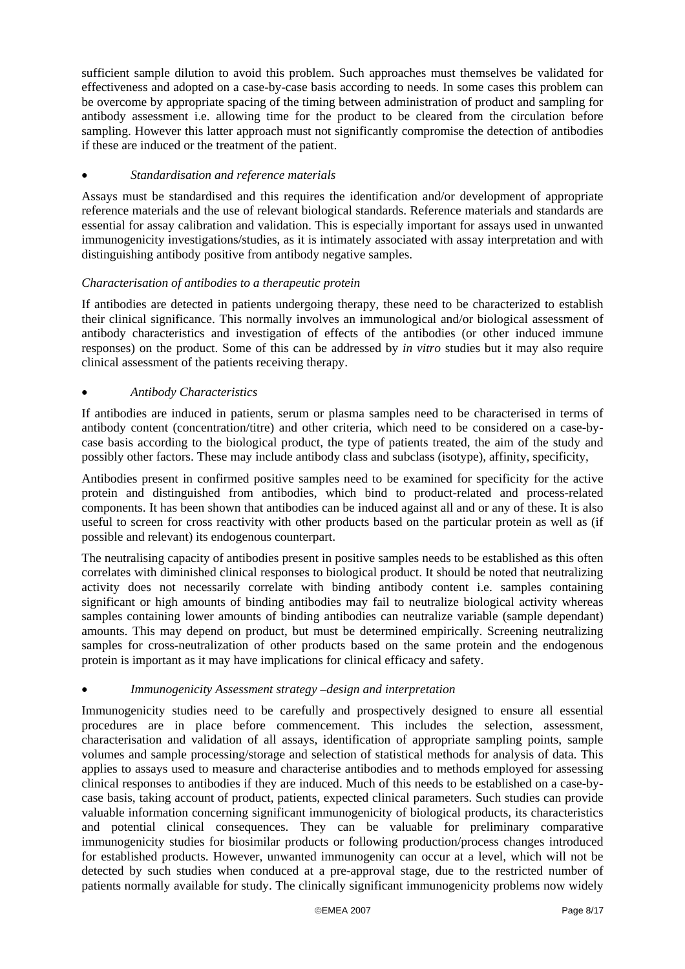sufficient sample dilution to avoid this problem. Such approaches must themselves be validated for effectiveness and adopted on a case-by-case basis according to needs. In some cases this problem can be overcome by appropriate spacing of the timing between administration of product and sampling for antibody assessment i.e. allowing time for the product to be cleared from the circulation before sampling. However this latter approach must not significantly compromise the detection of antibodies if these are induced or the treatment of the patient.

## • *Standardisation and reference materials*

Assays must be standardised and this requires the identification and/or development of appropriate reference materials and the use of relevant biological standards. Reference materials and standards are essential for assay calibration and validation. This is especially important for assays used in unwanted immunogenicity investigations/studies, as it is intimately associated with assay interpretation and with distinguishing antibody positive from antibody negative samples.

## *Characterisation of antibodies to a therapeutic protein*

If antibodies are detected in patients undergoing therapy, these need to be characterized to establish their clinical significance. This normally involves an immunological and/or biological assessment of antibody characteristics and investigation of effects of the antibodies (or other induced immune responses) on the product. Some of this can be addressed by *in vitro* studies but it may also require clinical assessment of the patients receiving therapy.

### • *Antibody Characteristics*

If antibodies are induced in patients, serum or plasma samples need to be characterised in terms of antibody content (concentration/titre) and other criteria, which need to be considered on a case-bycase basis according to the biological product, the type of patients treated, the aim of the study and possibly other factors. These may include antibody class and subclass (isotype), affinity, specificity,

Antibodies present in confirmed positive samples need to be examined for specificity for the active protein and distinguished from antibodies, which bind to product-related and process-related components. It has been shown that antibodies can be induced against all and or any of these. It is also useful to screen for cross reactivity with other products based on the particular protein as well as (if possible and relevant) its endogenous counterpart.

The neutralising capacity of antibodies present in positive samples needs to be established as this often correlates with diminished clinical responses to biological product. It should be noted that neutralizing activity does not necessarily correlate with binding antibody content i.e. samples containing significant or high amounts of binding antibodies may fail to neutralize biological activity whereas samples containing lower amounts of binding antibodies can neutralize variable (sample dependant) amounts. This may depend on product, but must be determined empirically. Screening neutralizing samples for cross-neutralization of other products based on the same protein and the endogenous protein is important as it may have implications for clinical efficacy and safety.

## • *Immunogenicity Assessment strategy –design and interpretation*

Immunogenicity studies need to be carefully and prospectively designed to ensure all essential procedures are in place before commencement. This includes the selection, assessment, characterisation and validation of all assays, identification of appropriate sampling points, sample volumes and sample processing/storage and selection of statistical methods for analysis of data. This applies to assays used to measure and characterise antibodies and to methods employed for assessing clinical responses to antibodies if they are induced. Much of this needs to be established on a case-bycase basis, taking account of product, patients, expected clinical parameters. Such studies can provide valuable information concerning significant immunogenicity of biological products, its characteristics and potential clinical consequences. They can be valuable for preliminary comparative immunogenicity studies for biosimilar products or following production/process changes introduced for established products. However, unwanted immunogenity can occur at a level, which will not be detected by such studies when conduced at a pre-approval stage, due to the restricted number of patients normally available for study. The clinically significant immunogenicity problems now widely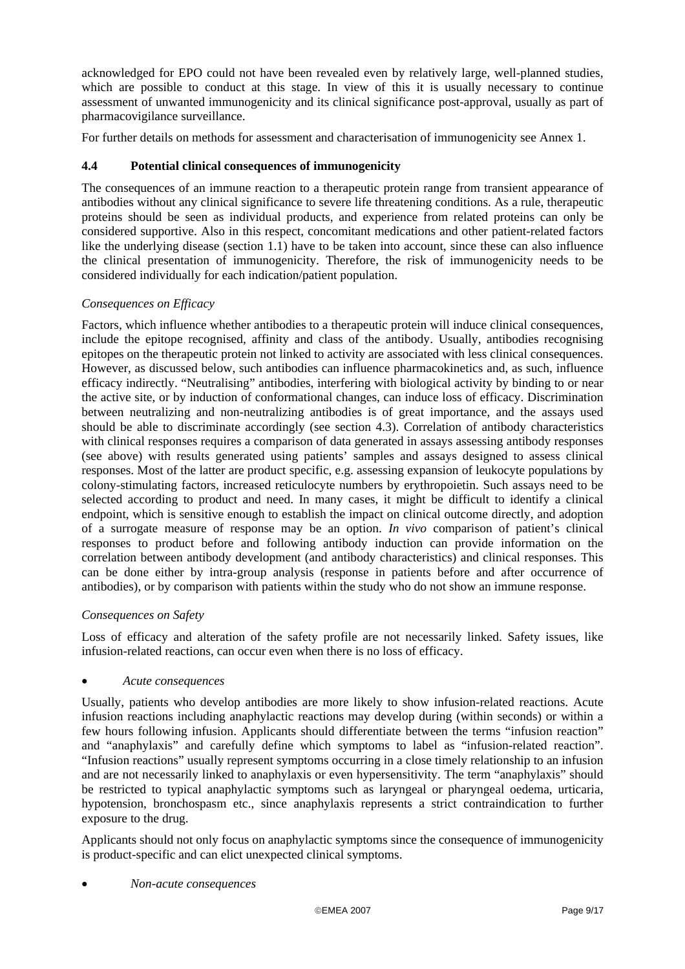acknowledged for EPO could not have been revealed even by relatively large, well-planned studies, which are possible to conduct at this stage. In view of this it is usually necessary to continue assessment of unwanted immunogenicity and its clinical significance post-approval, usually as part of pharmacovigilance surveillance.

For further details on methods for assessment and characterisation of immunogenicity see Annex 1.

# **4.4 Potential clinical consequences of immunogenicity**

The consequences of an immune reaction to a therapeutic protein range from transient appearance of antibodies without any clinical significance to severe life threatening conditions. As a rule, therapeutic proteins should be seen as individual products, and experience from related proteins can only be considered supportive. Also in this respect, concomitant medications and other patient-related factors like the underlying disease (section 1.1) have to be taken into account, since these can also influence the clinical presentation of immunogenicity. Therefore, the risk of immunogenicity needs to be considered individually for each indication/patient population.

## *Consequences on Efficacy*

Factors, which influence whether antibodies to a therapeutic protein will induce clinical consequences, include the epitope recognised, affinity and class of the antibody. Usually, antibodies recognising epitopes on the therapeutic protein not linked to activity are associated with less clinical consequences. However, as discussed below, such antibodies can influence pharmacokinetics and, as such, influence efficacy indirectly. "Neutralising" antibodies, interfering with biological activity by binding to or near the active site, or by induction of conformational changes, can induce loss of efficacy. Discrimination between neutralizing and non-neutralizing antibodies is of great importance, and the assays used should be able to discriminate accordingly (see section 4.3). Correlation of antibody characteristics with clinical responses requires a comparison of data generated in assays assessing antibody responses (see above) with results generated using patients' samples and assays designed to assess clinical responses. Most of the latter are product specific, e.g. assessing expansion of leukocyte populations by colony-stimulating factors, increased reticulocyte numbers by erythropoietin. Such assays need to be selected according to product and need. In many cases, it might be difficult to identify a clinical endpoint, which is sensitive enough to establish the impact on clinical outcome directly, and adoption of a surrogate measure of response may be an option. *In vivo* comparison of patient's clinical responses to product before and following antibody induction can provide information on the correlation between antibody development (and antibody characteristics) and clinical responses. This can be done either by intra-group analysis (response in patients before and after occurrence of antibodies), or by comparison with patients within the study who do not show an immune response.

## *Consequences on Safety*

Loss of efficacy and alteration of the safety profile are not necessarily linked. Safety issues, like infusion-related reactions, can occur even when there is no loss of efficacy.

## • *Acute consequences*

Usually, patients who develop antibodies are more likely to show infusion-related reactions. Acute infusion reactions including anaphylactic reactions may develop during (within seconds) or within a few hours following infusion. Applicants should differentiate between the terms "infusion reaction" and "anaphylaxis" and carefully define which symptoms to label as "infusion-related reaction". "Infusion reactions" usually represent symptoms occurring in a close timely relationship to an infusion and are not necessarily linked to anaphylaxis or even hypersensitivity. The term "anaphylaxis" should be restricted to typical anaphylactic symptoms such as laryngeal or pharyngeal oedema, urticaria, hypotension, bronchospasm etc., since anaphylaxis represents a strict contraindication to further exposure to the drug.

Applicants should not only focus on anaphylactic symptoms since the consequence of immunogenicity is product-specific and can elict unexpected clinical symptoms.

### • *Non-acute consequences*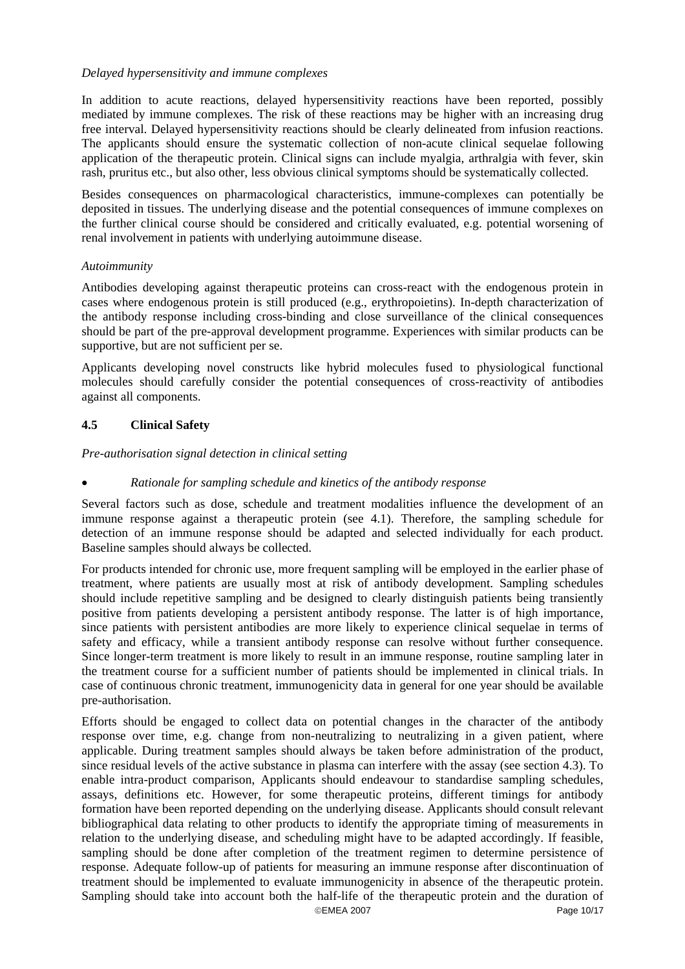### *Delayed hypersensitivity and immune complexes*

In addition to acute reactions, delayed hypersensitivity reactions have been reported, possibly mediated by immune complexes. The risk of these reactions may be higher with an increasing drug free interval. Delayed hypersensitivity reactions should be clearly delineated from infusion reactions. The applicants should ensure the systematic collection of non-acute clinical sequelae following application of the therapeutic protein. Clinical signs can include myalgia, arthralgia with fever, skin rash, pruritus etc., but also other, less obvious clinical symptoms should be systematically collected.

Besides consequences on pharmacological characteristics, immune-complexes can potentially be deposited in tissues. The underlying disease and the potential consequences of immune complexes on the further clinical course should be considered and critically evaluated, e.g. potential worsening of renal involvement in patients with underlying autoimmune disease.

### *Autoimmunity*

Antibodies developing against therapeutic proteins can cross-react with the endogenous protein in cases where endogenous protein is still produced (e.g., erythropoietins). In-depth characterization of the antibody response including cross-binding and close surveillance of the clinical consequences should be part of the pre-approval development programme. Experiences with similar products can be supportive, but are not sufficient per se.

Applicants developing novel constructs like hybrid molecules fused to physiological functional molecules should carefully consider the potential consequences of cross-reactivity of antibodies against all components.

## **4.5 Clinical Safety**

*Pre-authorisation signal detection in clinical setting* 

## • *Rationale for sampling schedule and kinetics of the antibody response*

Several factors such as dose, schedule and treatment modalities influence the development of an immune response against a therapeutic protein (see 4.1). Therefore, the sampling schedule for detection of an immune response should be adapted and selected individually for each product. Baseline samples should always be collected.

For products intended for chronic use, more frequent sampling will be employed in the earlier phase of treatment, where patients are usually most at risk of antibody development. Sampling schedules should include repetitive sampling and be designed to clearly distinguish patients being transiently positive from patients developing a persistent antibody response. The latter is of high importance, since patients with persistent antibodies are more likely to experience clinical sequelae in terms of safety and efficacy, while a transient antibody response can resolve without further consequence. Since longer-term treatment is more likely to result in an immune response, routine sampling later in the treatment course for a sufficient number of patients should be implemented in clinical trials. In case of continuous chronic treatment, immunogenicity data in general for one year should be available pre-authorisation.

Efforts should be engaged to collect data on potential changes in the character of the antibody response over time, e.g. change from non-neutralizing to neutralizing in a given patient, where applicable. During treatment samples should always be taken before administration of the product, since residual levels of the active substance in plasma can interfere with the assay (see section 4.3). To enable intra-product comparison, Applicants should endeavour to standardise sampling schedules, assays, definitions etc. However, for some therapeutic proteins, different timings for antibody formation have been reported depending on the underlying disease. Applicants should consult relevant bibliographical data relating to other products to identify the appropriate timing of measurements in relation to the underlying disease, and scheduling might have to be adapted accordingly. If feasible, sampling should be done after completion of the treatment regimen to determine persistence of response. Adequate follow-up of patients for measuring an immune response after discontinuation of treatment should be implemented to evaluate immunogenicity in absence of the therapeutic protein. Sampling should take into account both the half-life of the therapeutic protein and the duration of ©EMEA 2007 2007 Page 10/17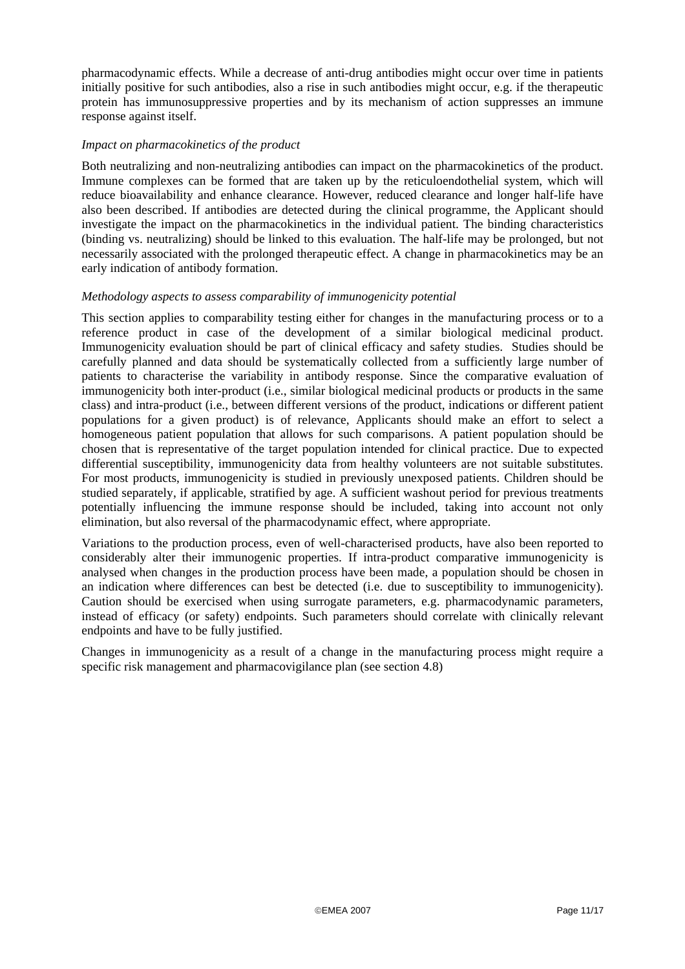pharmacodynamic effects. While a decrease of anti-drug antibodies might occur over time in patients initially positive for such antibodies, also a rise in such antibodies might occur, e.g. if the therapeutic protein has immunosuppressive properties and by its mechanism of action suppresses an immune response against itself.

### *Impact on pharmacokinetics of the product*

Both neutralizing and non-neutralizing antibodies can impact on the pharmacokinetics of the product. Immune complexes can be formed that are taken up by the reticuloendothelial system, which will reduce bioavailability and enhance clearance. However, reduced clearance and longer half-life have also been described. If antibodies are detected during the clinical programme, the Applicant should investigate the impact on the pharmacokinetics in the individual patient. The binding characteristics (binding vs. neutralizing) should be linked to this evaluation. The half-life may be prolonged, but not necessarily associated with the prolonged therapeutic effect. A change in pharmacokinetics may be an early indication of antibody formation.

### *Methodology aspects to assess comparability of immunogenicity potential*

This section applies to comparability testing either for changes in the manufacturing process or to a reference product in case of the development of a similar biological medicinal product. Immunogenicity evaluation should be part of clinical efficacy and safety studies. Studies should be carefully planned and data should be systematically collected from a sufficiently large number of patients to characterise the variability in antibody response. Since the comparative evaluation of immunogenicity both inter-product (i.e., similar biological medicinal products or products in the same class) and intra-product (i.e., between different versions of the product, indications or different patient populations for a given product) is of relevance, Applicants should make an effort to select a homogeneous patient population that allows for such comparisons. A patient population should be chosen that is representative of the target population intended for clinical practice. Due to expected differential susceptibility, immunogenicity data from healthy volunteers are not suitable substitutes. For most products, immunogenicity is studied in previously unexposed patients. Children should be studied separately, if applicable, stratified by age. A sufficient washout period for previous treatments potentially influencing the immune response should be included, taking into account not only elimination, but also reversal of the pharmacodynamic effect, where appropriate.

Variations to the production process, even of well-characterised products, have also been reported to considerably alter their immunogenic properties. If intra-product comparative immunogenicity is analysed when changes in the production process have been made, a population should be chosen in an indication where differences can best be detected (i.e. due to susceptibility to immunogenicity). Caution should be exercised when using surrogate parameters, e.g. pharmacodynamic parameters, instead of efficacy (or safety) endpoints. Such parameters should correlate with clinically relevant endpoints and have to be fully justified.

Changes in immunogenicity as a result of a change in the manufacturing process might require a specific risk management and pharmacovigilance plan (see section 4.8)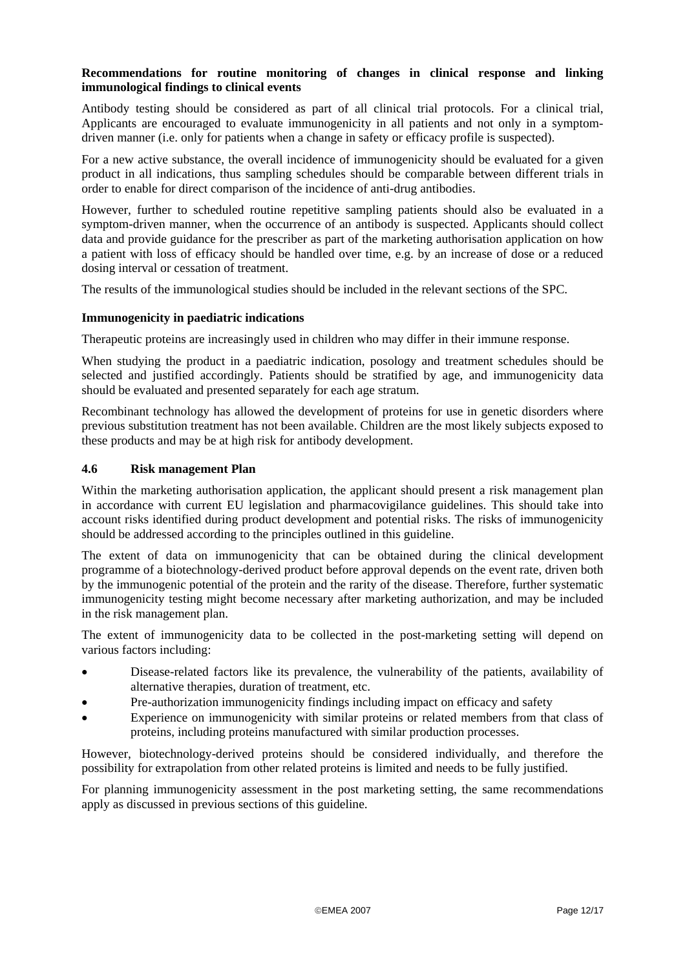### **Recommendations for routine monitoring of changes in clinical response and linking immunological findings to clinical events**

Antibody testing should be considered as part of all clinical trial protocols. For a clinical trial, Applicants are encouraged to evaluate immunogenicity in all patients and not only in a symptomdriven manner (i.e. only for patients when a change in safety or efficacy profile is suspected).

For a new active substance, the overall incidence of immunogenicity should be evaluated for a given product in all indications, thus sampling schedules should be comparable between different trials in order to enable for direct comparison of the incidence of anti-drug antibodies.

However, further to scheduled routine repetitive sampling patients should also be evaluated in a symptom-driven manner, when the occurrence of an antibody is suspected. Applicants should collect data and provide guidance for the prescriber as part of the marketing authorisation application on how a patient with loss of efficacy should be handled over time, e.g. by an increase of dose or a reduced dosing interval or cessation of treatment.

The results of the immunological studies should be included in the relevant sections of the SPC.

### **Immunogenicity in paediatric indications**

Therapeutic proteins are increasingly used in children who may differ in their immune response.

When studying the product in a paediatric indication, posology and treatment schedules should be selected and justified accordingly. Patients should be stratified by age, and immunogenicity data should be evaluated and presented separately for each age stratum.

Recombinant technology has allowed the development of proteins for use in genetic disorders where previous substitution treatment has not been available. Children are the most likely subjects exposed to these products and may be at high risk for antibody development.

#### **4.6 Risk management Plan**

Within the marketing authorisation application, the applicant should present a risk management plan in accordance with current EU legislation and pharmacovigilance guidelines. This should take into account risks identified during product development and potential risks. The risks of immunogenicity should be addressed according to the principles outlined in this guideline.

The extent of data on immunogenicity that can be obtained during the clinical development programme of a biotechnology-derived product before approval depends on the event rate, driven both by the immunogenic potential of the protein and the rarity of the disease. Therefore, further systematic immunogenicity testing might become necessary after marketing authorization, and may be included in the risk management plan.

The extent of immunogenicity data to be collected in the post-marketing setting will depend on various factors including:

- Disease-related factors like its prevalence, the vulnerability of the patients, availability of alternative therapies, duration of treatment, etc.
- Pre-authorization immunogenicity findings including impact on efficacy and safety
- Experience on immunogenicity with similar proteins or related members from that class of proteins, including proteins manufactured with similar production processes.

However, biotechnology-derived proteins should be considered individually, and therefore the possibility for extrapolation from other related proteins is limited and needs to be fully justified.

For planning immunogenicity assessment in the post marketing setting, the same recommendations apply as discussed in previous sections of this guideline.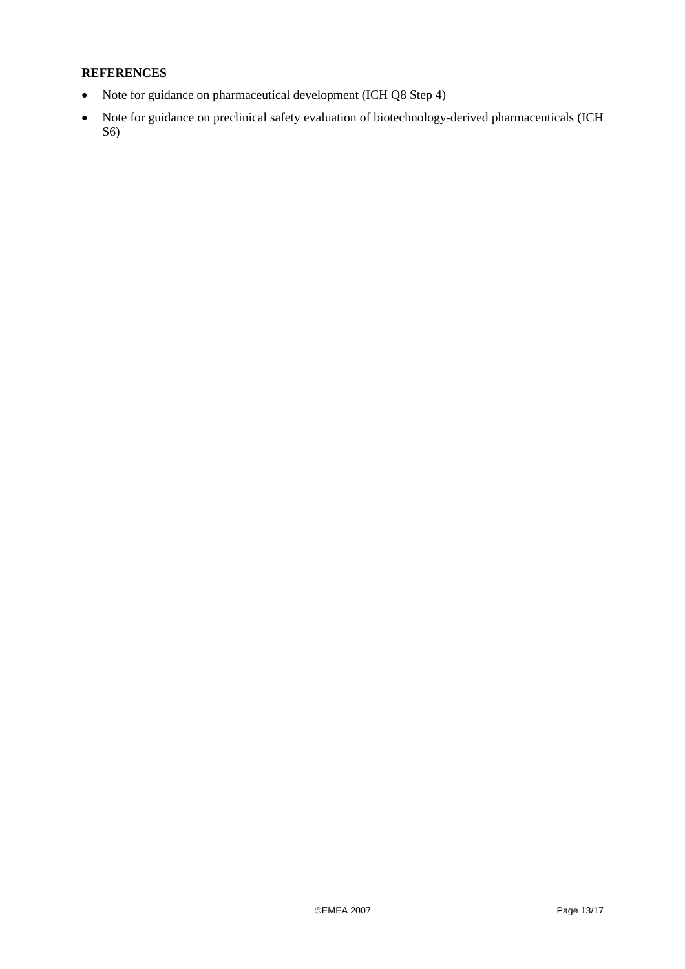# <span id="page-12-0"></span>**REFERENCES**

- Note for guidance on pharmaceutical development (ICH Q8 Step 4)
- Note for guidance on preclinical safety evaluation of biotechnology-derived pharmaceuticals (ICH S6)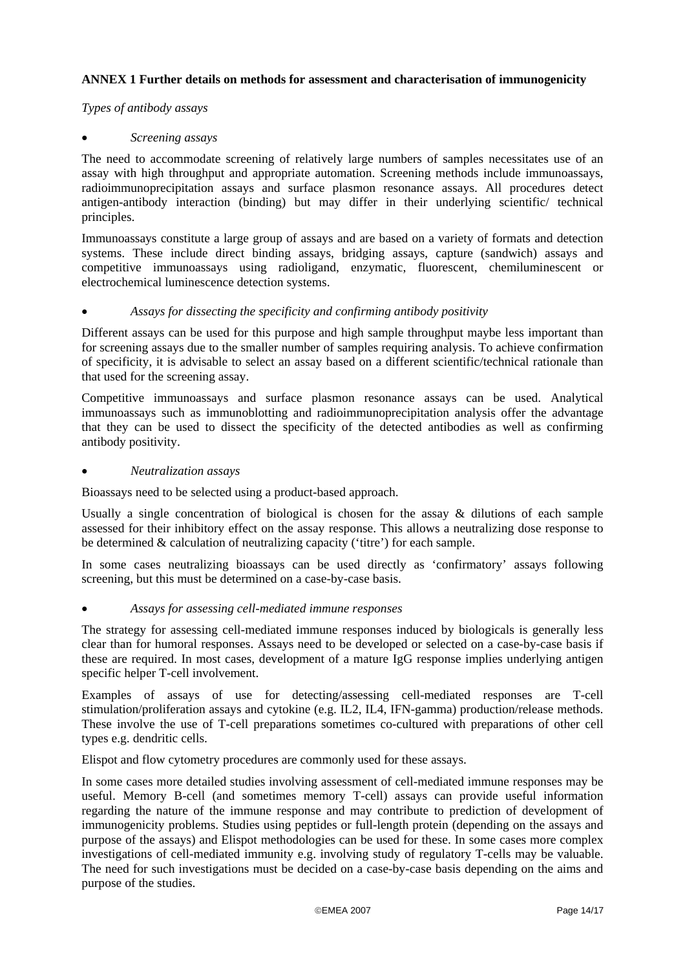## **ANNEX 1 Further details on methods for assessment and characterisation of immunogenicity**

### *Types of antibody assays*

### • *Screening assays*

The need to accommodate screening of relatively large numbers of samples necessitates use of an assay with high throughput and appropriate automation. Screening methods include immunoassays, radioimmunoprecipitation assays and surface plasmon resonance assays. All procedures detect antigen-antibody interaction (binding) but may differ in their underlying scientific/ technical principles.

Immunoassays constitute a large group of assays and are based on a variety of formats and detection systems. These include direct binding assays, bridging assays, capture (sandwich) assays and competitive immunoassays using radioligand, enzymatic, fluorescent, chemiluminescent or electrochemical luminescence detection systems.

### • *Assays for dissecting the specificity and confirming antibody positivity*

Different assays can be used for this purpose and high sample throughput maybe less important than for screening assays due to the smaller number of samples requiring analysis. To achieve confirmation of specificity, it is advisable to select an assay based on a different scientific/technical rationale than that used for the screening assay.

Competitive immunoassays and surface plasmon resonance assays can be used. Analytical immunoassays such as immunoblotting and radioimmunoprecipitation analysis offer the advantage that they can be used to dissect the specificity of the detected antibodies as well as confirming antibody positivity.

### • *Neutralization assays*

Bioassays need to be selected using a product-based approach.

Usually a single concentration of biological is chosen for the assay & dilutions of each sample assessed for their inhibitory effect on the assay response. This allows a neutralizing dose response to be determined & calculation of neutralizing capacity ('titre') for each sample.

In some cases neutralizing bioassays can be used directly as 'confirmatory' assays following screening, but this must be determined on a case-by-case basis.

### • *Assays for assessing cell-mediated immune responses*

The strategy for assessing cell-mediated immune responses induced by biologicals is generally less clear than for humoral responses. Assays need to be developed or selected on a case-by-case basis if these are required. In most cases, development of a mature IgG response implies underlying antigen specific helper T-cell involvement.

Examples of assays of use for detecting/assessing cell-mediated responses are T-cell stimulation/proliferation assays and cytokine (e.g. IL2, IL4, IFN-gamma) production/release methods. These involve the use of T-cell preparations sometimes co-cultured with preparations of other cell types e.g. dendritic cells.

Elispot and flow cytometry procedures are commonly used for these assays.

In some cases more detailed studies involving assessment of cell-mediated immune responses may be useful. Memory B-cell (and sometimes memory T-cell) assays can provide useful information regarding the nature of the immune response and may contribute to prediction of development of immunogenicity problems. Studies using peptides or full-length protein (depending on the assays and purpose of the assays) and Elispot methodologies can be used for these. In some cases more complex investigations of cell-mediated immunity e.g. involving study of regulatory T-cells may be valuable. The need for such investigations must be decided on a case-by-case basis depending on the aims and purpose of the studies.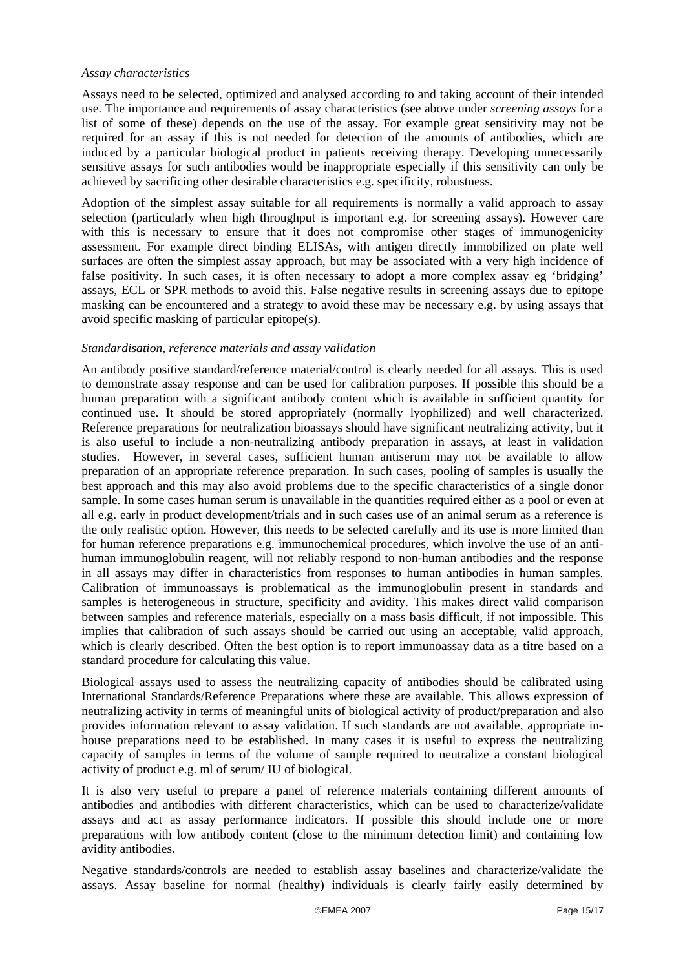### *Assay characteristics*

Assays need to be selected, optimized and analysed according to and taking account of their intended use. The importance and requirements of assay characteristics (see above under *screening assays* for a list of some of these) depends on the use of the assay. For example great sensitivity may not be required for an assay if this is not needed for detection of the amounts of antibodies, which are induced by a particular biological product in patients receiving therapy. Developing unnecessarily sensitive assays for such antibodies would be inappropriate especially if this sensitivity can only be achieved by sacrificing other desirable characteristics e.g. specificity, robustness.

Adoption of the simplest assay suitable for all requirements is normally a valid approach to assay selection (particularly when high throughput is important e.g. for screening assays). However care with this is necessary to ensure that it does not compromise other stages of immunogenicity assessment. For example direct binding ELISAs, with antigen directly immobilized on plate well surfaces are often the simplest assay approach, but may be associated with a very high incidence of false positivity. In such cases, it is often necessary to adopt a more complex assay eg 'bridging' assays, ECL or SPR methods to avoid this. False negative results in screening assays due to epitope masking can be encountered and a strategy to avoid these may be necessary e.g. by using assays that avoid specific masking of particular epitope(s).

### *Standardisation, reference materials and assay validation*

An antibody positive standard/reference material/control is clearly needed for all assays. This is used to demonstrate assay response and can be used for calibration purposes. If possible this should be a human preparation with a significant antibody content which is available in sufficient quantity for continued use. It should be stored appropriately (normally lyophilized) and well characterized. Reference preparations for neutralization bioassays should have significant neutralizing activity, but it is also useful to include a non-neutralizing antibody preparation in assays, at least in validation studies. However, in several cases, sufficient human antiserum may not be available to allow preparation of an appropriate reference preparation. In such cases, pooling of samples is usually the best approach and this may also avoid problems due to the specific characteristics of a single donor sample. In some cases human serum is unavailable in the quantities required either as a pool or even at all e.g. early in product development/trials and in such cases use of an animal serum as a reference is the only realistic option. However, this needs to be selected carefully and its use is more limited than for human reference preparations e.g. immunochemical procedures, which involve the use of an antihuman immunoglobulin reagent, will not reliably respond to non-human antibodies and the response in all assays may differ in characteristics from responses to human antibodies in human samples. Calibration of immunoassays is problematical as the immunoglobulin present in standards and samples is heterogeneous in structure, specificity and avidity. This makes direct valid comparison between samples and reference materials, especially on a mass basis difficult, if not impossible. This implies that calibration of such assays should be carried out using an acceptable, valid approach, which is clearly described. Often the best option is to report immunoassay data as a titre based on a standard procedure for calculating this value.

Biological assays used to assess the neutralizing capacity of antibodies should be calibrated using International Standards/Reference Preparations where these are available. This allows expression of neutralizing activity in terms of meaningful units of biological activity of product/preparation and also provides information relevant to assay validation. If such standards are not available, appropriate inhouse preparations need to be established. In many cases it is useful to express the neutralizing capacity of samples in terms of the volume of sample required to neutralize a constant biological activity of product e.g. ml of serum/ IU of biological.

It is also very useful to prepare a panel of reference materials containing different amounts of antibodies and antibodies with different characteristics, which can be used to characterize/validate assays and act as assay performance indicators. If possible this should include one or more preparations with low antibody content (close to the minimum detection limit) and containing low avidity antibodies.

Negative standards/controls are needed to establish assay baselines and characterize/validate the assays. Assay baseline for normal (healthy) individuals is clearly fairly easily determined by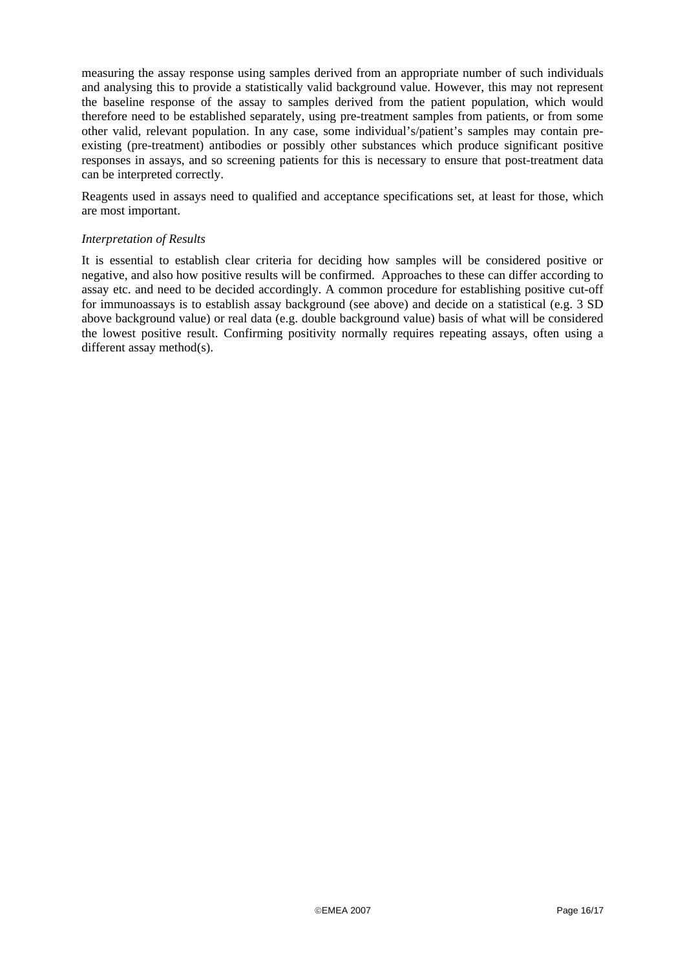measuring the assay response using samples derived from an appropriate number of such individuals and analysing this to provide a statistically valid background value. However, this may not represent the baseline response of the assay to samples derived from the patient population, which would therefore need to be established separately, using pre-treatment samples from patients, or from some other valid, relevant population. In any case, some individual's/patient's samples may contain preexisting (pre-treatment) antibodies or possibly other substances which produce significant positive responses in assays, and so screening patients for this is necessary to ensure that post-treatment data can be interpreted correctly.

Reagents used in assays need to qualified and acceptance specifications set, at least for those, which are most important.

#### *Interpretation of Results*

It is essential to establish clear criteria for deciding how samples will be considered positive or negative, and also how positive results will be confirmed. Approaches to these can differ according to assay etc. and need to be decided accordingly. A common procedure for establishing positive cut-off for immunoassays is to establish assay background (see above) and decide on a statistical (e.g. 3 SD above background value) or real data (e.g. double background value) basis of what will be considered the lowest positive result. Confirming positivity normally requires repeating assays, often using a different assay method(s).